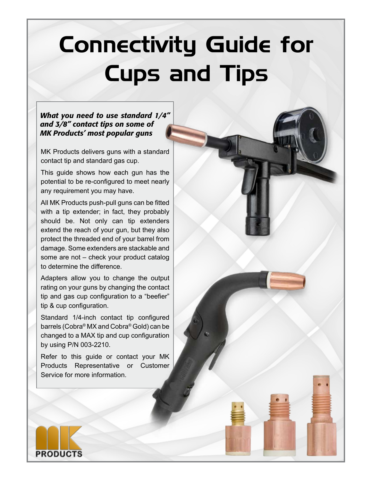# Connectivity Guide for Cups and Tips

### *What you need to use standard 1/4" and 3/8" contact tips on some of MK Products' most popular guns*

MK Products delivers guns with a standard contact tip and standard gas cup.

This guide shows how each gun has the potential to be re-configured to meet nearly any requirement you may have.

All MK Products push-pull guns can be fitted with a tip extender; in fact, they probably should be. Not only can tip extenders extend the reach of your gun, but they also protect the threaded end of your barrel from damage. Some extenders are stackable and some are not – check your product catalog to determine the difference.

Adapters allow you to change the output rating on your guns by changing the contact tip and gas cup configuration to a "beefier" tip & cup configuration.

Standard 1/4-inch contact tip configured barrels (Cobra® MX and Cobra® Gold) can be changed to a MAX tip and cup configuration by using P/N 003-2210.

Refer to this guide or contact your MK Products Representative or Customer Service for more information.

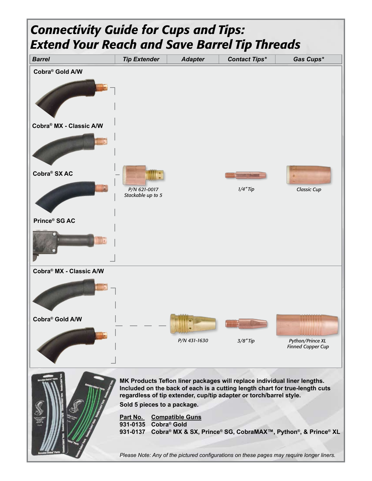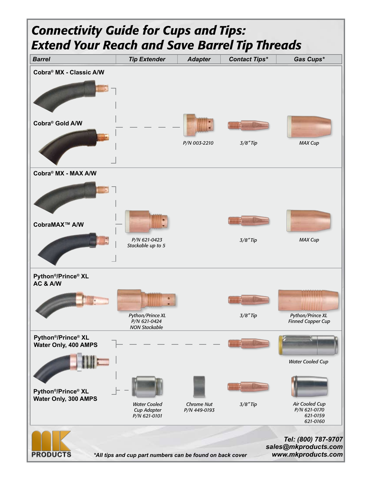